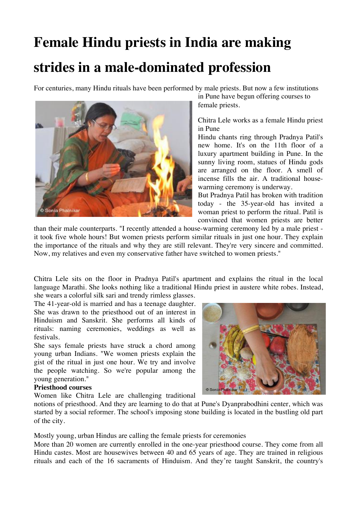# **Female Hindu priests in India are making strides in a male-dominated profession**

For centuries, many Hindu rituals have been performed by male priests. But now a few institutions



in Pune have begun offering courses to female priests.

Chitra Lele works as a female Hindu priest in Pune

Hindu chants ring through Pradnya Patil's new home. It's on the 11th floor of a luxury apartment building in Pune. In the sunny living room, statues of Hindu gods are arranged on the floor. A smell of incense fills the air. A traditional housewarming ceremony is underway.

But Pradnya Patil has broken with tradition today - the 35-year-old has invited a woman priest to perform the ritual. Patil is convinced that women priests are better

than their male counterparts. "I recently attended a house-warming ceremony led by a male priest it took five whole hours! But women priests perform similar rituals in just one hour. They explain the importance of the rituals and why they are still relevant. They're very sincere and committed. Now, my relatives and even my conservative father have switched to women priests."

Chitra Lele sits on the floor in Pradnya Patil's apartment and explains the ritual in the local language Marathi. She looks nothing like a traditional Hindu priest in austere white robes. Instead,

she wears a colorful silk sari and trendy rimless glasses.

The 41-year-old is married and has a teenage daughter. She was drawn to the priesthood out of an interest in Hinduism and Sanskrit. She performs all kinds of rituals: naming ceremonies, weddings as well as festivals.

She says female priests have struck a chord among young urban Indians. "We women priests explain the gist of the ritual in just one hour. We try and involve the people watching. So we're popular among the young generation."

#### **Priesthood courses**

Women like Chitra Lele are challenging traditional



notions of priesthood. And they are learning to do that at Pune's Dyanprabodhini center, which was started by a social reformer. The school's imposing stone building is located in the bustling old part of the city.

Mostly young, urban Hindus are calling the female priests for ceremonies

More than 20 women are currently enrolled in the one-year priesthood course. They come from all Hindu castes. Most are housewives between 40 and 65 years of age. They are trained in religious rituals and each of the 16 sacraments of Hinduism. And they're taught Sanskrit, the country's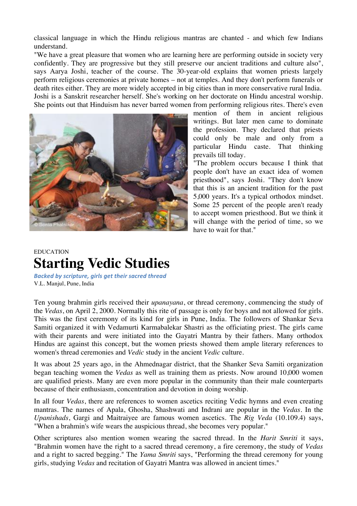classical language in which the Hindu religious mantras are chanted - and which few Indians understand.

"We have a great pleasure that women who are learning here are performing outside in society very confidently. They are progressive but they still preserve our ancient traditions and culture also", says Aarya Joshi, teacher of the course. The 30-year-old explains that women priests largely perform religious ceremonies at private homes – not at temples. And they don't perform funerals or death rites either. They are more widely accepted in big cities than in more conservative rural India. Joshi is a Sanskrit researcher herself. She's working on her doctorate on Hindu ancestral worship. She points out that Hinduism has never barred women from performing religious rites. There's even



mention of them in ancient religious writings. But later men came to dominate the profession. They declared that priests could only be male and only from a particular Hindu caste. That thinking prevails till today.

"The problem occurs because I think that people don't have an exact idea of women priesthood", says Joshi. "They don't know that this is an ancient tradition for the past 5,000 years. It's a typical orthodox mindset. Some 25 percent of the people aren't ready to accept women priesthood. But we think it will change with the period of time, so we have to wait for that."

## EDUCATION **Starting Vedic Studies**

*Backed by scripture, girls get their sacred thread* V.L. Manjul, Pune, India

Ten young brahmin girls received their *upanayana*, or thread ceremony, commencing the study of the *Vedas*, on April 2, 2000. Normally this rite of passage is only for boys and not allowed for girls. This was the first ceremony of its kind for girls in Pune, India. The followers of Shankar Seva Samiti organized it with Vedamurti Karmabalekar Shastri as the officiating priest. The girls came with their parents and were initiated into the Gayatri Mantra by their fathers. Many orthodox Hindus are against this concept, but the women priests showed them ample literary references to women's thread ceremonies and *Vedic* study in the ancient *Vedic* culture.

It was about 25 years ago, in the Ahmednagar district, that the Shanker Seva Samiti organization began teaching women the *Vedas* as well as training them as priests. Now around 10,000 women are qualified priests. Many are even more popular in the community than their male counterparts because of their enthusiasm, concentration and devotion in doing worship.

In all four *Vedas*, there are references to women ascetics reciting Vedic hymns and even creating mantras. The names of Apala, Ghosha, Shashwati and Indrani are popular in the *Vedas*. In the *Upanishads*, Gargi and Maitraiyee are famous women ascetics. The *Rig Veda* (10.109.4) says, "When a brahmin's wife wears the auspicious thread, she becomes very popular."

Other scriptures also mention women wearing the sacred thread. In the *Harit Smriti* it says, "Brahmin women have the right to a sacred thread ceremony, a fire ceremony, the study of *Vedas* and a right to sacred begging." The *Yama Smriti* says, "Performing the thread ceremony for young girls, studying *Vedas* and recitation of Gayatri Mantra was allowed in ancient times."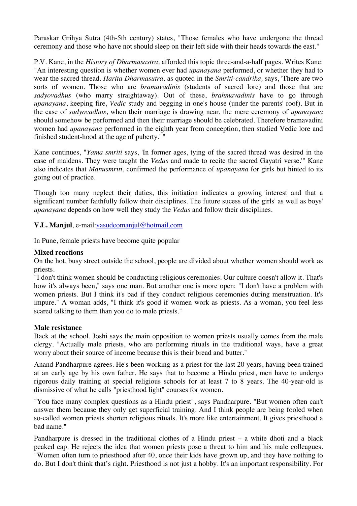Paraskar Grihya Sutra (4th-5th century) states, "Those females who have undergone the thread ceremony and those who have not should sleep on their left side with their heads towards the east."

P.V. Kane, in the *History of Dharmasastra,* afforded this topic three-and-a-half pages. Writes Kane: "An interesting question is whether women ever had *upanayana* performed, or whether they had to wear the sacred thread. *Harita Dharmasutra,* as quoted in the *Smriti-candrika,* says, 'There are two sorts of women. Those who are *bramavadinis* (students of sacred lore) and those that are *sadyovadhus* (who marry straightaway). Out of these, *brahmavadinis* have to go through *upanayana*, keeping fire, *Vedic* study and begging in one's house (under the parents' roof). But in the case of *sadyovadhus*, when their marriage is drawing near, the mere ceremony of *upanayana* should somehow be performed and then their marriage should be celebrated. Therefore bramavadini women had *upanayana* performed in the eighth year from conception, then studied Vedic lore and finished student-hood at the age of puberty.' "

Kane continues, "*Yama smriti* says, 'In former ages, tying of the sacred thread was desired in the case of maidens. They were taught the *Vedas* and made to recite the sacred Gayatri verse.'" Kane also indicates that *Manusmriti*, confirmed the performance of *upanayana* for girls but hinted to its going out of practice.

Though too many neglect their duties, this initiation indicates a growing interest and that a significant number faithfully follow their disciplines. The future sucess of the girls' as well as boys' *upanayana* depends on how well they study the *Vedas* and follow their disciplines.

**V.L. Manjul**, e-mail:vasudeomanjul@hotmail.com

In Pune, female priests have become quite popular

#### **Mixed reactions**

On the hot, busy street outside the school, people are divided about whether women should work as priests.

"I don't think women should be conducting religious ceremonies. Our culture doesn't allow it. That's how it's always been," says one man. But another one is more open: "I don't have a problem with women priests. But I think it's bad if they conduct religious ceremonies during menstruation. It's impure." A woman adds, "I think it's good if women work as priests. As a woman, you feel less scared talking to them than you do to male priests."

#### **Male resistance**

Back at the school, Joshi says the main opposition to women priests usually comes from the male clergy. "Actually male priests, who are performing rituals in the traditional ways, have a great worry about their source of income because this is their bread and butter."

Anand Pandharpure agrees. He's been working as a priest for the last 20 years, having been trained at an early age by his own father. He says that to become a Hindu priest, men have to undergo rigorous daily training at special religious schools for at least 7 to 8 years. The 40-year-old is dismissive of what he calls "priesthood light" courses for women.

"You face many complex questions as a Hindu priest", says Pandharpure. "But women often can't answer them because they only get superficial training. And I think people are being fooled when so-called women priests shorten religious rituals. It's more like entertainment. It gives priesthood a bad name."

Pandharpure is dressed in the traditional clothes of a Hindu priest – a white dhoti and a black peaked cap. He rejects the idea that women priests pose a threat to him and his male colleagues. "Women often turn to priesthood after 40, once their kids have grown up, and they have nothing to do. But I don't think that's right. Priesthood is not just a hobby. It's an important responsibility. For